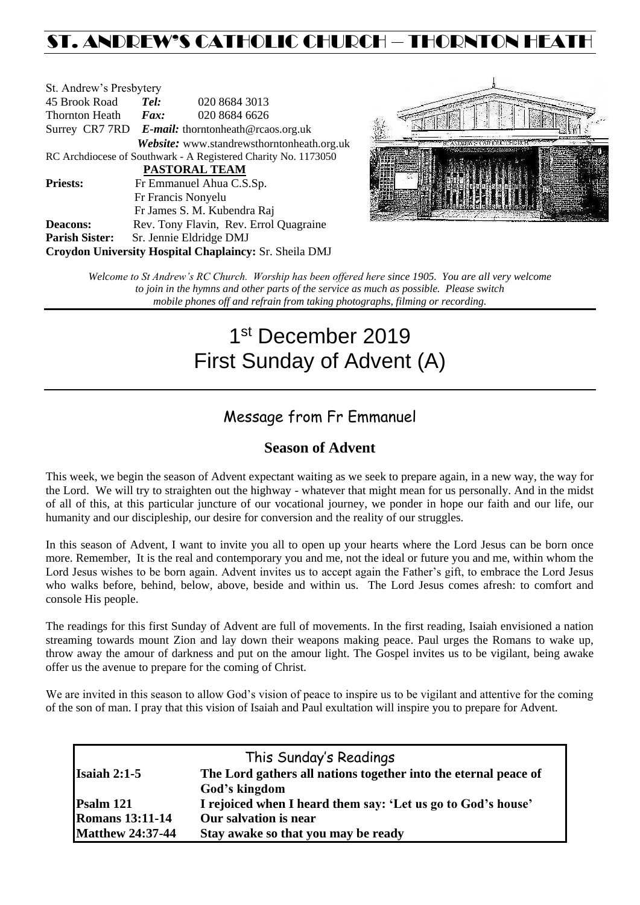## ST. ANDREW'S CATHOLIC CHURCH – THORNTON HEAT

| St. Andrew's Presbytery                                        |                                                   |                                                        |  |  |
|----------------------------------------------------------------|---------------------------------------------------|--------------------------------------------------------|--|--|
| 45 Brook Road                                                  | Tel:                                              | 020 8684 3013                                          |  |  |
| Thornton Heath                                                 | Fax:                                              | 020 8684 6626                                          |  |  |
|                                                                | Surrey CR7 7RD E-mail: thorntonheath@rcaos.org.uk |                                                        |  |  |
|                                                                |                                                   | Website: www.standrewsthorntonheath.org.uk             |  |  |
| RC Archdiocese of Southwark - A Registered Charity No. 1173050 |                                                   |                                                        |  |  |
| <b>PASTORAL TEAM</b>                                           |                                                   |                                                        |  |  |
| <b>Priests:</b>                                                |                                                   | Fr Emmanuel Ahua C.S.Sp.                               |  |  |
| Fr Francis Nonyelu                                             |                                                   |                                                        |  |  |
|                                                                |                                                   | Fr James S. M. Kubendra Raj                            |  |  |
| <b>Deacons:</b>                                                |                                                   | Rev. Tony Flavin, Rev. Errol Quagraine                 |  |  |
| <b>Parish Sister:</b>                                          |                                                   | Sr. Jennie Eldridge DMJ                                |  |  |
|                                                                |                                                   | Croydon University Hospital Chaplaincy: Sr. Sheila DMJ |  |  |



*Welcome to St Andrew's RC Church. Worship has been offered here since 1905. You are all very welcome to join in the hymns and other parts of the service as much as possible. Please switch mobile phones off and refrain from taking photographs, filming or recording.*

# 1st December 2019 First Sunday of Advent (A)

### Message from Fr Emmanuel

### **Season of Advent**

This week, we begin the season of Advent expectant waiting as we seek to prepare again, in a new way, the way for the Lord. We will try to straighten out the highway - whatever that might mean for us personally. And in the midst of all of this, at this particular juncture of our vocational journey, we ponder in hope our faith and our life, our humanity and our discipleship, our desire for conversion and the reality of our struggles.

In this season of Advent, I want to invite you all to open up your hearts where the Lord Jesus can be born once more. Remember, It is the real and contemporary you and me, not the ideal or future you and me, within whom the Lord Jesus wishes to be born again. Advent invites us to accept again the Father's gift, to embrace the Lord Jesus who walks before, behind, below, above, beside and within us. The Lord Jesus comes afresh: to comfort and console His people.

The readings for this first Sunday of Advent are full of movements. In the first reading, Isaiah envisioned a nation streaming towards mount Zion and lay down their weapons making peace. Paul urges the Romans to wake up, throw away the amour of darkness and put on the amour light. The Gospel invites us to be vigilant, being awake offer us the avenue to prepare for the coming of Christ.

We are invited in this season to allow God's vision of peace to inspire us to be vigilant and attentive for the coming of the son of man. I pray that this vision of Isaiah and Paul exultation will inspire you to prepare for Advent.

| This Sunday's Readings  |                                                                 |  |  |  |
|-------------------------|-----------------------------------------------------------------|--|--|--|
| $Isaiah 2:1-5$          | The Lord gathers all nations together into the eternal peace of |  |  |  |
|                         | God's kingdom                                                   |  |  |  |
| <b>Psalm 121</b>        | I rejoiced when I heard them say: 'Let us go to God's house'    |  |  |  |
| <b>Romans 13:11-14</b>  | Our salvation is near                                           |  |  |  |
| <b>Matthew 24:37-44</b> | Stay awake so that you may be ready                             |  |  |  |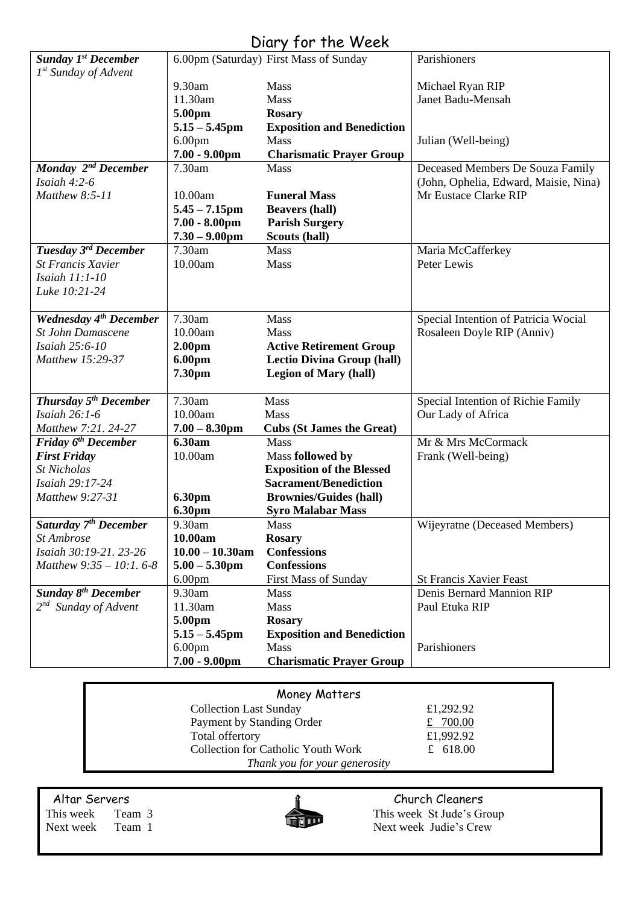### Diary for the Week

| <b>Sunday 1st December</b>        |                                        | 6.00pm (Saturday) First Mass of Sunday           | Parishioners                          |
|-----------------------------------|----------------------------------------|--------------------------------------------------|---------------------------------------|
| $1st$ Sunday of Advent            |                                        |                                                  |                                       |
|                                   | 9.30am                                 | Mass                                             | Michael Ryan RIP                      |
|                                   | 11.30am                                | Mass                                             | Janet Badu-Mensah                     |
|                                   | 5.00pm                                 | <b>Rosary</b>                                    |                                       |
|                                   | $5.15 - 5.45$ pm<br>6.00 <sub>pm</sub> | <b>Exposition and Benediction</b><br><b>Mass</b> | Julian (Well-being)                   |
|                                   | $7.00 - 9.00$ pm                       | <b>Charismatic Prayer Group</b>                  |                                       |
| Monday 2 <sup>nd</sup> December   | 7.30am                                 | <b>Mass</b>                                      | Deceased Members De Souza Family      |
| Isaiah $4:2-6$                    |                                        |                                                  | (John, Ophelia, Edward, Maisie, Nina) |
| Matthew 8:5-11                    | 10.00am                                | <b>Funeral Mass</b>                              | Mr Eustace Clarke RIP                 |
|                                   | $5.45 - 7.15$ pm                       | <b>Beavers (hall)</b>                            |                                       |
|                                   | $7.00 - 8.00$ pm                       | <b>Parish Surgery</b>                            |                                       |
|                                   | $7.30 - 9.00$ pm                       | Scouts (hall)                                    |                                       |
| Tuesday 3rd December              | 7.30am                                 | Mass                                             | Maria McCafferkey                     |
| <b>St Francis Xavier</b>          | 10.00am                                | Mass                                             | Peter Lewis                           |
| Isaiah 11:1-10                    |                                        |                                                  |                                       |
| Luke 10:21-24                     |                                        |                                                  |                                       |
| <b>Wednesday 4th December</b>     | 7.30am                                 | Mass                                             | Special Intention of Patricia Wocial  |
| <b>St John Damascene</b>          | 10.00am                                | Mass                                             | Rosaleen Doyle RIP (Anniv)            |
| Isaiah 25:6-10                    | 2.00 <sub>pm</sub>                     | <b>Active Retirement Group</b>                   |                                       |
| Matthew 15:29-37                  | 6.00pm                                 | <b>Lectio Divina Group (hall)</b>                |                                       |
|                                   | 7.30pm                                 | <b>Legion of Mary (hall)</b>                     |                                       |
|                                   |                                        |                                                  |                                       |
| Thursday 5 <sup>th</sup> December | 7.30am                                 | Mass                                             | Special Intention of Richie Family    |
| Isaiah 26:1-6                     | 10.00am                                | Mass                                             | Our Lady of Africa                    |
| Matthew 7:21. 24-27               | $7.00 - 8.30$ pm                       | <b>Cubs (St James the Great)</b>                 |                                       |
| Friday 6 <sup>th</sup> December   | 6.30am                                 | <b>Mass</b>                                      | Mr & Mrs McCormack                    |
| <b>First Friday</b>               | 10.00am                                | Mass followed by                                 | Frank (Well-being)                    |
| <b>St Nicholas</b>                |                                        | <b>Exposition of the Blessed</b>                 |                                       |
| Isaiah 29:17-24                   |                                        | <b>Sacrament/Benediction</b>                     |                                       |
| Matthew 9:27-31                   | 6.30pm<br>6.30pm                       | <b>Brownies/Guides (hall)</b>                    |                                       |
| Saturday 7 <sup>th</sup> December | 9.30am                                 | <b>Syro Malabar Mass</b><br>Mass                 | Wijeyratne (Deceased Members)         |
| St Ambrose                        | 10.00am                                | <b>Rosary</b>                                    |                                       |
| Isaiah 30:19-21. 23-26            | $10.00 - 10.30$ am                     | <b>Confessions</b>                               |                                       |
| Matthew $9:35 - 10:1.6-8$         | $5.00 - 5.30$ pm                       | <b>Confessions</b>                               |                                       |
|                                   | 6.00 <sub>pm</sub>                     | <b>First Mass of Sunday</b>                      | <b>St Francis Xavier Feast</b>        |
| <b>Sunday 8th December</b>        | 9.30am                                 | Mass                                             | Denis Bernard Mannion RIP             |
| $2^{nd}$ Sunday of Advent         | 11.30am                                | Mass                                             | Paul Etuka RIP                        |
|                                   | 5.00pm                                 | <b>Rosary</b>                                    |                                       |
|                                   | $5.15 - 5.45$ pm                       | <b>Exposition and Benediction</b>                |                                       |
|                                   | 6.00 <sub>pm</sub>                     | <b>Mass</b>                                      | Parishioners                          |
|                                   | $7.00 - 9.00$ pm                       | <b>Charismatic Prayer Group</b>                  |                                       |

| Money Matters                      |            |  |  |  |
|------------------------------------|------------|--|--|--|
| <b>Collection Last Sunday</b>      | £1,292.92  |  |  |  |
| Payment by Standing Order          | £ $700.00$ |  |  |  |
| Total offertory                    | £1,992.92  |  |  |  |
| Collection for Catholic Youth Work | £ 618.00   |  |  |  |
| Thank you for your generosity      |            |  |  |  |



Altar Servers **Church Cleaners** Church Cleaners This week Team 3 This week St Jude's Group Next week Team 1 Next week Judie's Crew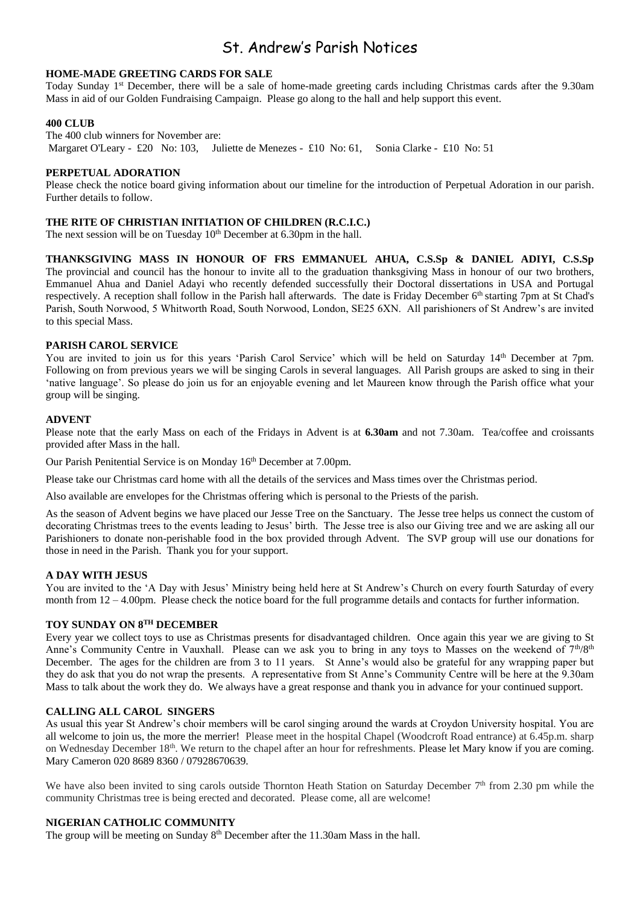### St. Andrew's Parish Notices

#### **HOME-MADE GREETING CARDS FOR SALE**

Today Sunday  $1<sup>st</sup>$  December, there will be a sale of home-made greeting cards including Christmas cards after the 9.30am Mass in aid of our Golden Fundraising Campaign. Please go along to the hall and help support this event.

#### **400 CLUB**

The 400 club winners for November are: Margaret O'Leary - £20 No: 103, Juliette de Menezes - £10 No: 61, Sonia Clarke - £10 No: 51

#### **PERPETUAL ADORATION**

Please check the notice board giving information about our timeline for the introduction of Perpetual Adoration in our parish. Further details to follow.

#### **THE RITE OF CHRISTIAN INITIATION OF CHILDREN (R.C.I.C.)**

The next session will be on Tuesday  $10<sup>th</sup>$  December at 6.30pm in the hall.

**THANKSGIVING MASS IN HONOUR OF FRS EMMANUEL AHUA, C.S.Sp & DANIEL ADIYI, C.S.Sp** The provincial and council has the honour to invite all to the graduation thanksgiving Mass in honour of our two brothers, Emmanuel Ahua and Daniel Adayi who recently defended successfully their Doctoral dissertations in USA and Portugal respectively. A reception shall follow in the Parish hall afterwards. The date is Friday December 6th starting 7pm at St Chad's Parish, South Norwood, 5 Whitworth Road, South Norwood, London, SE25 6XN. All parishioners of St Andrew's are invited to this special Mass.

#### **PARISH CAROL SERVICE**

You are invited to join us for this years 'Parish Carol Service' which will be held on Saturday 14<sup>th</sup> December at 7pm. Following on from previous years we will be singing Carols in several languages. All Parish groups are asked to sing in their 'native language'. So please do join us for an enjoyable evening and let Maureen know through the Parish office what your group will be singing.

#### **ADVENT**

Please note that the early Mass on each of the Fridays in Advent is at **6.30am** and not 7.30am. Tea/coffee and croissants provided after Mass in the hall.

Our Parish Penitential Service is on Monday 16<sup>th</sup> December at 7.00pm.

Please take our Christmas card home with all the details of the services and Mass times over the Christmas period.

Also available are envelopes for the Christmas offering which is personal to the Priests of the parish.

As the season of Advent begins we have placed our Jesse Tree on the Sanctuary. The Jesse tree helps us connect the custom of decorating Christmas trees to the events leading to Jesus' birth. The Jesse tree is also our Giving tree and we are asking all our Parishioners to donate non-perishable food in the box provided through Advent. The SVP group will use our donations for those in need in the Parish. Thank you for your support.

#### **A DAY WITH JESUS**

You are invited to the 'A Day with Jesus' Ministry being held here at St Andrew's Church on every fourth Saturday of every month from  $12 - 4.00$ pm. Please check the notice board for the full programme details and contacts for further information.

#### **TOY SUNDAY ON 8TH DECEMBER**

Every year we collect toys to use as Christmas presents for disadvantaged children. Once again this year we are giving to St Anne's Community Centre in Vauxhall. Please can we ask you to bring in any toys to Masses on the weekend of 7<sup>th</sup>/8<sup>th</sup> December. The ages for the children are from 3 to 11 years. St Anne's would also be grateful for any wrapping paper but they do ask that you do not wrap the presents. A representative from St Anne's Community Centre will be here at the 9.30am Mass to talk about the work they do. We always have a great response and thank you in advance for your continued support.

#### **CALLING ALL CAROL SINGERS**

As usual this year St Andrew's choir members will be carol singing around the wards at Croydon University hospital. You are all welcome to join us, the more the merrier! Please meet in the hospital Chapel (Woodcroft Road entrance) at 6.45p.m. sharp on Wednesday December 18<sup>th</sup>. We return to the chapel after an hour for refreshments. Please let Mary know if you are coming. Mary Cameron 020 8689 8360 / 07928670639.

We have also been invited to sing carols outside Thornton Heath Station on Saturday December 7<sup>th</sup> from 2.30 pm while the community Christmas tree is being erected and decorated. Please come, all are welcome!

#### **NIGERIAN CATHOLIC COMMUNITY**

The group will be meeting on Sunday 8<sup>th</sup> December after the 11.30am Mass in the hall.